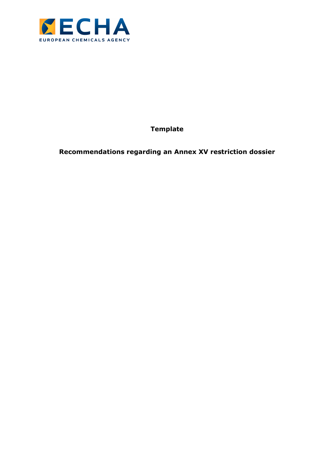

**Template** 

**Recommendations regarding an Annex XV restriction dossier**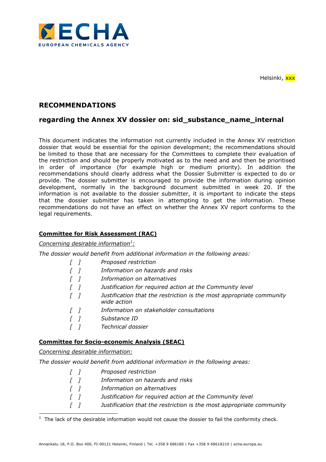

Helsinki, xxx

# **RECOMMENDATIONS**

## **regarding the Annex XV dossier on: sid\_substance\_name\_internal**

This document indicates the information not currently included in the Annex XV restriction dossier that would be essential for the opinion development; the recommendations should be limited to those that are necessary for the Committees to complete their evaluation of the restriction and should be properly motivated as to the need and and then be prioritised in order of importance (for example high or medium priority). In addition the recommendations should clearly address what the Dossier Submitter is expected to do or provide. The dossier submitter is encouraged to provide the information during opinion development, normally in the background document submitted in week 20. If the information is not available to the dossier submitter, it is important to indicate the steps that the dossier submitter has taken in attempting to get the information. These recommendations do not have an effect on whether the Annex XV report conforms to the legal requirements.

#### **Committee for Risk Assessment (RAC)**

#### *Concerning desirable information<sup>1</sup> :*

*The dossier would benefit from additional information in the following areas:* 

|  | Proposed restriction |
|--|----------------------|
|  |                      |

- *[ ] Information on hazards and risks*
- *[ ] Information on alternatives*
- *[ ] Justification for required action at the Community level*
- *[ ] Justification that the restriction is the most appropriate community wide action*
- *[ ] Information on stakeholder consultations*
- *[ ] Substance ID*
- *[ ] Technical dossier*

#### **Committee for Socio-economic Analysis (SEAC)**

#### *Concerning desirable information:*

*The dossier would benefit from additional information in the following areas:* 

*[ ] Proposed restriction [ ] Information on hazards and risks [ ] Information on alternatives [ ] Justification for required action at the Community level [ ] Justification that the restriction is the most appropriate community* 

l  $1$  The lack of the desirable information would not cause the dossier to fail the conformity check.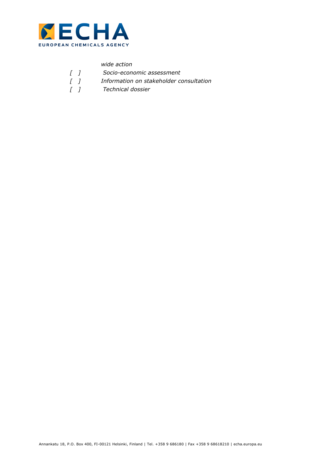

|            | wide action                             |
|------------|-----------------------------------------|
| $\sqrt{1}$ | Socio-economic assessment               |
| $\sqrt{1}$ | Information on stakeholder consultation |
| $\sqrt{1}$ | Technical dossier                       |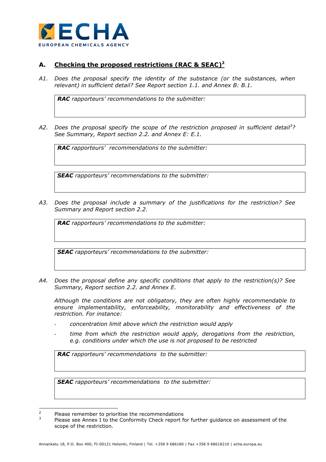

## **A. Checking the proposed restrictions (RAC & SEAC)<sup>2</sup>**

*A1. Does the proposal specify the identity of the substance (or the substances, when relevant) in sufficient detail? See Report section 1.1. and Annex B: B.1.* 

*RAC rapporteurs' recommendations to the submitter:* 

*A2. Does the proposal specify the scope of the restriction proposed in sufficient detail<sup>3</sup> ? See Summary, Report section 2.2. and Annex E: E.1.* 

*RAC rapporteurs' recommendations to the submitter:* 

*SEAC rapporteurs' recommendations to the submitter:* 

*A3. Does the proposal include a summary of the justifications for the restriction? See Summary and Report section 2.2.* 

*RAC rapporteurs' recommendations to the submitter:* 

*SEAC rapporteurs' recommendations to the submitter:* 

*A4. Does the proposal define any specific conditions that apply to the restriction(s)? See Summary, Report section 2.2. and Annex E.* 

*Although the conditions are not obligatory, they are often highly recommendable to ensure implementability, enforceability, monitorability and effectiveness of the restriction. For instance:* 

- *concentration limit above which the restriction would apply*
- *time from which the restriction would apply, derogations from the restriction, e.g. conditions under which the use is not proposed to be restricted*

*RAC rapporteurs' recommendations to the submitter:* 

 $\overline{2}$ Please remember to prioritise the recommendations

<sup>3</sup> Please see Annex I to the Conformity Check report for further guidance on assessment of the scope of the restriction.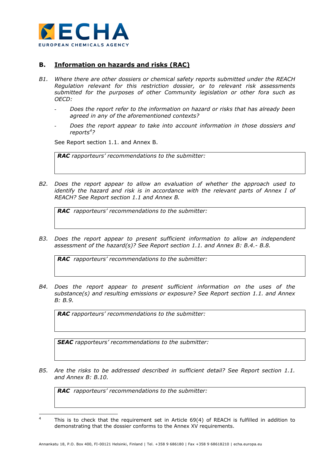

### **B. Information on hazards and risks (RAC)**

- *B1. Where there are other dossiers or chemical safety reports submitted under the REACH Regulation relevant for this restriction dossier, or to relevant risk assessments submitted for the purposes of other Community legislation or other fora such as OECD:* 
	- *Does the report refer to the information on hazard or risks that has already been agreed in any of the aforementioned contexts?*
	- *Does the report appear to take into account information in those dossiers and reports<sup>4</sup> ?*

See Report section 1.1. and Annex B.

*RAC rapporteurs' recommendations to the submitter:* 

*B2. Does the report appear to allow an evaluation of whether the approach used to identify the hazard and risk is in accordance with the relevant parts of Annex I of REACH? See Report section 1.1 and Annex B.* 

*RAC rapporteurs' recommendations to the submitter:* 

*B3. Does the report appear to present sufficient information to allow an independent assessment of the hazard(s)? See Report section 1.1. and Annex B: B.4.- B.8.* 

*RAC rapporteurs' recommendations to the submitter:* 

*B4. Does the report appear to present sufficient information on the uses of the substance(s) and resulting emissions or exposure? See Report section 1.1. and Annex B: B.9.* 

*RAC rapporteurs' recommendations to the submitter:* 

*SEAC rapporteurs' recommendations to the submitter:* 

*B5. Are the risks to be addressed described in sufficient detail? See Report section 1.1. and Annex B: B.10.* 

 $\frac{1}{4}$  This is to check that the requirement set in Article 69(4) of REACH is fulfilled in addition to demonstrating that the dossier conforms to the Annex XV requirements.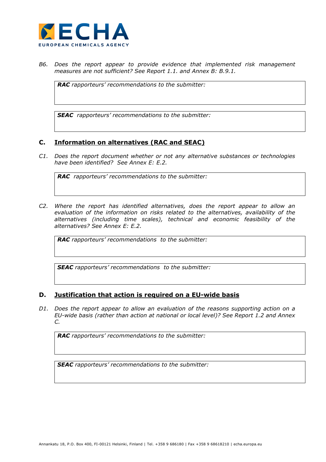

*B6. Does the report appear to provide evidence that implemented risk management measures are not sufficient? See Report 1.1. and Annex B: B.9.1.* 

*RAC rapporteurs' recommendations to the submitter:* 

*SEAC rapporteurs' recommendations to the submitter:* 

### **C. Information on alternatives (RAC and SEAC)**

*C1. Does the report document whether or not any alternative substances or technologies have been identified? See Annex E: E.2.* 

*RAC rapporteurs' recommendations to the submitter:* 

*C2. Where the report has identified alternatives, does the report appear to allow an evaluation of the information on risks related to the alternatives, availability of the alternatives (including time scales), technical and economic feasibility of the alternatives? See Annex E: E.2.* 

*RAC rapporteurs' recommendations to the submitter:* 

*SEAC rapporteurs' recommendations to the submitter:* 

#### **D. Justification that action is required on a EU-wide basis**

*D1. Does the report appear to allow an evaluation of the reasons supporting action on a EU-wide basis (rather than action at national or local level)? See Report 1.2 and Annex C.* 

*RAC rapporteurs' recommendations to the submitter:*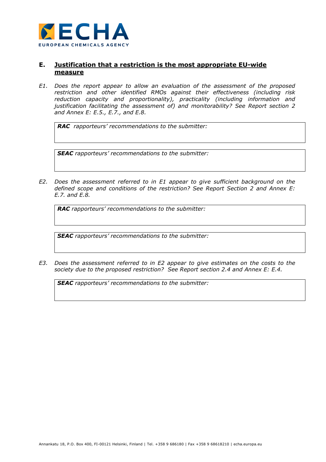

### **E. Justification that a restriction is the most appropriate EU-wide measure**

*E1. Does the report appear to allow an evaluation of the assessment of the proposed restriction and other identified RMOs against their effectiveness (including risk reduction capacity and proportionality), practicality (including information and justification facilitating the assessment of) and monitorability? See Report section 2 and Annex E: E.5., E.7., and E.8.* 

*RAC rapporteurs' recommendations to the submitter:* 

*SEAC rapporteurs' recommendations to the submitter:* 

*E2. Does the assessment referred to in E1 appear to give sufficient background on the defined scope and conditions of the restriction? See Report Section 2 and Annex E: E.7. and E.8.* 

*RAC rapporteurs' recommendations to the submitter:* 

*SEAC rapporteurs' recommendations to the submitter:* 

*E3. Does the assessment referred to in E2 appear to give estimates on the costs to the society due to the proposed restriction? See Report section 2.4 and Annex E: E.4.*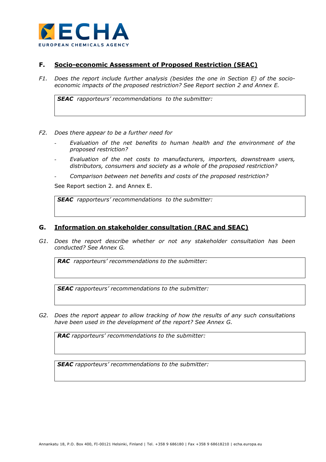

### **F. Socio-economic Assessment of Proposed Restriction (SEAC)**

*F1. Does the report include further analysis (besides the one in Section E) of the socioeconomic impacts of the proposed restriction? See Report section 2 and Annex E.* 

*SEAC rapporteurs' recommendations to the submitter:* 

- *F2. Does there appear to be a further need for* 
	- *Evaluation of the net benefits to human health and the environment of the proposed restriction?*
	- *Evaluation of the net costs to manufacturers, importers, downstream users, distributors, consumers and society as a whole of the proposed restriction?*
	- *Comparison between net benefits and costs of the proposed restriction?*

See Report section 2. and Annex E.

*SEAC rapporteurs' recommendations to the submitter:* 

#### **G. Information on stakeholder consultation (RAC and SEAC)**

*G1. Does the report describe whether or not any stakeholder consultation has been conducted? See Annex G.* 

*RAC rapporteurs' recommendations to the submitter:* 

*SEAC rapporteurs' recommendations to the submitter:* 

*G2. Does the report appear to allow tracking of how the results of any such consultations have been used in the development of the report? See Annex G.* 

*RAC rapporteurs' recommendations to the submitter:*